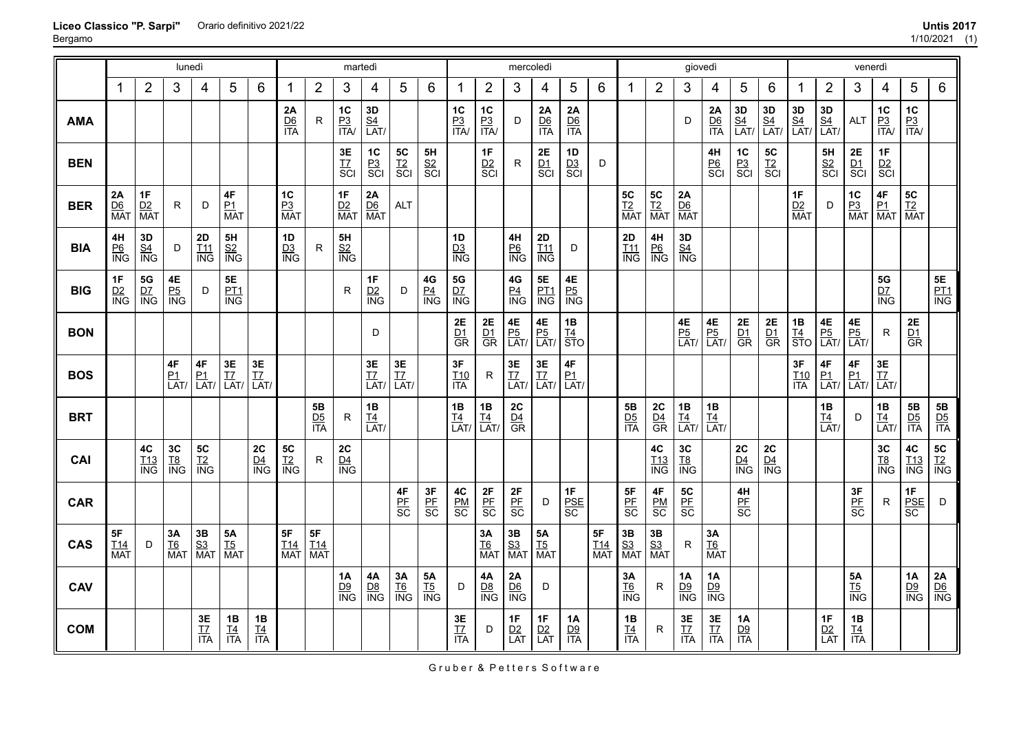|            |                         |                                    | lunedì                              |                             |                                                    |                        |                         |                         | martedì                        |                                   |                        |                      |                         |                               | mercoledì                            |                                   |                                      |                                    |                                               |                         | giovedì                           |                               |                                          |                        |                        |                        | venerdì                           |                          |                                    |                                                    |
|------------|-------------------------|------------------------------------|-------------------------------------|-----------------------------|----------------------------------------------------|------------------------|-------------------------|-------------------------|--------------------------------|-----------------------------------|------------------------|----------------------|-------------------------|-------------------------------|--------------------------------------|-----------------------------------|--------------------------------------|------------------------------------|-----------------------------------------------|-------------------------|-----------------------------------|-------------------------------|------------------------------------------|------------------------|------------------------|------------------------|-----------------------------------|--------------------------|------------------------------------|----------------------------------------------------|
|            | 1                       | $\overline{2}$                     | 3                                   | 4                           | 5                                                  | 6                      | -1                      | $\overline{2}$          | 3                              | 4                                 | 5                      | 6                    | -1                      | $\overline{2}$                | 3                                    | 4                                 | 5                                    | $6\,$                              | 1                                             | $\overline{2}$          | 3                                 | 4                             | 5                                        | 6                      | 1                      | $\overline{2}$         | 3                                 | 4                        | 5                                  | $\,6$                                              |
| <b>AMA</b> |                         |                                    |                                     |                             |                                                    |                        | 2A<br>$rac{D6}{ITA}$    | R                       | $1C$<br>$rac{P3}{ITA}$         | 3D<br>$\frac{S4}{LAT}$            |                        |                      | 1C<br>$rac{P3}{ITA}$    | 1C<br>$\frac{P3}{ITA}$        | D                                    | 2A<br>$rac{D6}{ITA}$              | 2A<br>$rac{D6}{ITA}$                 |                                    |                                               |                         | D                                 | 2A<br>$rac{D6}{ITA}$          | <b>3D</b><br><u>S4</u><br>LAT/           | 3D<br>$\frac{S4}{LAT}$ | 3D<br>$\frac{S4}{LAT}$ | 3D<br>$\frac{S4}{LAT}$ | <b>ALT</b>                        | 1C<br>$rac{P3}{ITA}$     | 1C<br>$\frac{P3}{ITA}$             |                                                    |
| <b>BEN</b> |                         |                                    |                                     |                             |                                                    |                        |                         |                         | 3E<br>T7<br>SCI                | $rac{PC}{PC}$<br>SCI              | $rac{TC}{SC}$<br>SCI   | 5H<br>$rac{S2}{SCI}$ |                         | 1F<br>$rac{D2}{SC}$           | $\mathsf{R}$                         | 2E<br>$rac{D1}{SC}$               | 1D<br>$rac{D3}{SC}$                  | D                                  |                                               |                         |                                   | 4H<br><u>P6</u><br>SCI        | $rac{PC}{PC}$                            | $rac{5C}{12}$<br>SCI   |                        | 5H<br>$rac{S2}{SCI}$   | 2E<br>$rac{D1}{SC}$               | 1F<br>$rac{D2}{SC}$      |                                    |                                                    |
| <b>BER</b> | 2A<br>$\frac{D6}{MA1}$  | 1F<br>D2<br><b>MAT</b>             | R.                                  | D                           | $4\mathsf{F}$<br>P1<br><b>MAT</b>                  |                        | 1C<br>$\frac{P3}{MAT}$  |                         | 1F<br>$\frac{D2}{MAT}$         | $\frac{2A}{DB}$<br>MAT            | <b>ALT</b>             |                      |                         |                               |                                      |                                   |                                      |                                    | 5C<br><u>T2</u><br>MAT                        | 5C<br><u>T2</u><br>MAT  | $\frac{2A}{DB}$<br>MAT            |                               |                                          |                        | 1F<br>D2<br><b>MAT</b> | D                      | $\frac{1C}{P_3}$<br>MAT           | 4F<br>$\frac{P1}{MAT}$   | 5C<br><u>T2</u><br>MAT             |                                                    |
| <b>BIA</b> | 4H<br>$rac{P6}{ING}$    | 3D<br>$\frac{S4}{ING}$             | D                                   | 2D<br>$\frac{T11}{ING}$     | $\frac{5H}{1N}$                                    |                        | 1D<br>$\frac{D3}{ING}$  | R.                      | 5H<br>$rac{S2}{ING}$           |                                   |                        |                      | 1D<br>$\frac{D3}{ING}$  |                               | 4H<br>$rac{P6}{NG}$                  | 2D<br>$rac{111}{100}$             | D                                    |                                    | 2D<br>$\frac{T11}{ING}$                       | 4H<br>$rac{P6}{P}$      | 3D<br>$\frac{S4}{ING}$            |                               |                                          |                        |                        |                        |                                   |                          |                                    |                                                    |
| <b>BIG</b> | 1F<br>$\frac{D2}{ING}$  | $\frac{5G}{1NG}$                   | $\frac{4E}{P_0}$<br>$\frac{P_5}{N}$ | D                           | <b>5E</b><br><u>PT1</u><br>$\overline{\text{ING}}$ |                        |                         |                         | R                              | $rac{1F}{1NG}$                    | D                      | $\frac{4G}{10}$      | $\frac{5G}{1NG}$        |                               | $\frac{4G}{\frac{P4}{\text{ING}}}$   | <b>5E</b><br><u>PT1</u><br>ING    | $\frac{4E}{P_0}$<br>$\frac{P_5}{N}$  |                                    |                                               |                         |                                   |                               |                                          |                        |                        |                        |                                   | 5G<br>$rac{D7}{NG}$      |                                    | 5E<br><u>PT1</u><br>ING                            |
| <b>BON</b> |                         |                                    |                                     |                             |                                                    |                        |                         |                         |                                | D                                 |                        |                      | 2E<br>$rac{D1}{GR}$     | $rac{2E}{GR}$                 | $\frac{4E}{P_0}$<br>LAT/             | 4E<br>$\frac{P5}{LAT}$            | 1B<br>$rac{T4}{STO}$                 |                                    |                                               |                         | <b>4E</b><br><u>P5</u><br>LAT/    | $\frac{4E}{P_0}$<br>LAT       | 2E<br>$rac{D_1}{GR}$                     | 2E<br>$rac{D1}{GR}$    | 1B<br>$\frac{T4}{STO}$ | 4E<br>$\frac{P5}{LAT}$ | 4E<br>$\frac{P5}{LAT}$            | R.                       | 2E<br>$rac{D1}{GR}$                |                                                    |
| <b>BOS</b> |                         |                                    | $4\mathsf{F}$<br>$\frac{P1}{LAT}$   | 4F<br>$\frac{P1}{LAT}$      | $3E$<br>$\frac{17}{LAT}$                           | $rac{3E}{LAT}$         |                         |                         |                                | $3\mathsf{E}$<br>$\frac{17}{LAT}$ | $rac{3E}{LT}$          |                      | 3F<br>$\frac{T10}{ITA}$ | R.                            | $rac{3E}{17}$<br>LAT/                | $3\mathsf{E}$<br>$\frac{TZ}{LAT}$ | $4\mathsf{F}$<br>$\frac{P1}{LAT}$    |                                    |                                               |                         |                                   |                               |                                          |                        | 3F<br>$rac{T10}{T4}$   | $\frac{4F}{LAT}$       | 4F<br>$\frac{P1}{LAT}$            | $3E$<br>$\frac{TZ}{LAT}$ |                                    |                                                    |
| <b>BRT</b> |                         |                                    |                                     |                             |                                                    |                        |                         | 5B<br>$rac{D5}{1TA}$    | R                              | 1B<br>$\frac{TA}{LAT}$            |                        |                      | 1B<br>$\frac{TA}{LAT}$  | 1B<br>$\frac{TA}{LAT}$        | 2C<br>$rac{D4}{GR}$                  |                                   |                                      |                                    | $rac{5B}{1TA}$                                | 2C<br>$rac{D4}{GR}$     | 1B<br>$\frac{TA}{LAT}$            | 1B<br>$\frac{TA}{LAT}$        |                                          |                        |                        | 1B<br>$\frac{TA}{LAT}$ | D                                 | 1B<br>$\frac{TA}{LAT}$   | ${\bf 5B}$<br>$rac{D5}{1TA}$       | ${\bf 5B}$<br>$rac{\overline{D5}}{\overline{ITA}}$ |
| CAI        |                         | $4\mathrm{C}$<br>$\frac{T13}{ING}$ | 3C<br>$rac{TS}{ING}$                | ${\bf 5C}$<br>$rac{T2}{NG}$ |                                                    | 2C<br>$\frac{D4}{ING}$ | $rac{TC}{N}$            | R                       | ${\bf 2C}$<br>$\frac{D4}{ING}$ |                                   |                        |                      |                         |                               |                                      |                                   |                                      |                                    |                                               | 4C<br>$\frac{T13}{ING}$ | 3C<br>$rac{TS}{ING}$              |                               | 2C<br>$\frac{\mathsf{D4}}{\mathsf{ING}}$ | 2C<br>$\frac{D4}{N}$   |                        |                        |                                   | 3C<br>$rac{TS}{ING}$     | 4C<br>$\frac{T13}{ING}$            | <b>5C</b><br><u>T2</u><br>ING                      |
| <b>CAR</b> |                         |                                    |                                     |                             |                                                    |                        |                         |                         |                                |                                   | $rac{4F}{\text{BE}}$   | 3F<br>PE<br>SC       | 4C<br>$rac{PM}{SC}$     | $rac{2F}{SC}$                 | 2F<br>$rac{PF}{SC}$                  | D                                 | 1F<br>$\frac{\text{PSE}}{\text{SC}}$ |                                    | 5F<br>$rac{\text{PE}}{\text{SC}}$             | 4F<br>$rac{PM}{SC}$     | 5C<br>$rac{\text{PF}}{\text{SC}}$ |                               | 4H<br>$rac{\text{PF}}{\text{SC}}$        |                        |                        |                        | 3F<br>$rac{\text{PE}}{\text{SC}}$ | R.                       | 1F<br>$rac{\text{PSE}}{\text{SC}}$ | D                                                  |
| <b>CAS</b> | 5F<br>$\frac{T14}{MAT}$ | D                                  | <b>3А</b><br><u>Т6</u><br>МАТ       | $\frac{3B}{S3}$<br>MAT      | <b>5A</b><br><u>T5</u><br>MAT                      |                        | 5F<br>$\frac{T14}{MAT}$ | 5F<br>$\frac{T14}{MAT}$ |                                |                                   |                        |                      |                         | <b>3A</b><br><u>T6</u><br>MAT | $\frac{3B}{S3}$<br>MAT               | 5A<br><u>T5</u><br>MAT            |                                      | $5\mathsf{F}$<br>$\frac{T14}{MAT}$ | $\frac{3B}{S3}$<br>MAT                        | $\frac{3B}{S3}$<br>MAT  | R                                 | <b>3A</b><br><u>T6</u><br>MAT |                                          |                        |                        |                        |                                   |                          |                                    |                                                    |
| <b>CAV</b> |                         |                                    |                                     |                             |                                                    |                        |                         |                         | 1A<br>$\frac{D9}{ING}$         | 4A<br>$\frac{D8}{ING}$            | 3A<br>$\frac{T6}{ING}$ | 5A<br>$rac{TS}{ING}$ | D                       | <b>4A</b><br>$\frac{D8}{ING}$ | 2A<br>$\frac{\text{D6}}{\text{ING}}$ | D                                 |                                      |                                    | 3A<br>$\underline{\mathsf{T6}}$<br><b>ING</b> | R.                      | 1A<br>$\frac{D9}{ING}$            | 1A<br>$\frac{D9}{ING}$        |                                          |                        |                        |                        | <b>5A</b><br>$rac{TS}{ING}$       |                          | 1A<br>$\frac{D9}{ING}$             | $\frac{2A}{10}$                                    |
| <b>COM</b> |                         |                                    |                                     | 3E<br>$rac{17}{17}$         | 1B<br>$rac{T4}{1TA}$                               | 1B<br>$\frac{TA}{ITA}$ |                         |                         |                                |                                   |                        |                      | 3E<br>$rac{17}{17}$     | D                             | 1F<br>$\frac{D2}{LAT}$               | 1F<br>$\frac{D2}{LAT}$            | <b>1A</b><br>$\frac{D9}{ITA}$        |                                    | 1B<br>$\frac{T4}{1TA}$                        | R                       | 3E<br>$rac{17}{17}$               | $3E$<br>$rac{17}{17A}$        | 1A<br>$rac{D9}{ITA}$                     |                        |                        | 1F<br>$\frac{D2}{LAT}$ | 1B<br>$\frac{TA}{ITA}$            |                          |                                    |                                                    |

**Liceo Classico "P. Sarpi"** Bergamo Orario definitivo 2021/22 **Untis 2017**

Gruber & Petters Software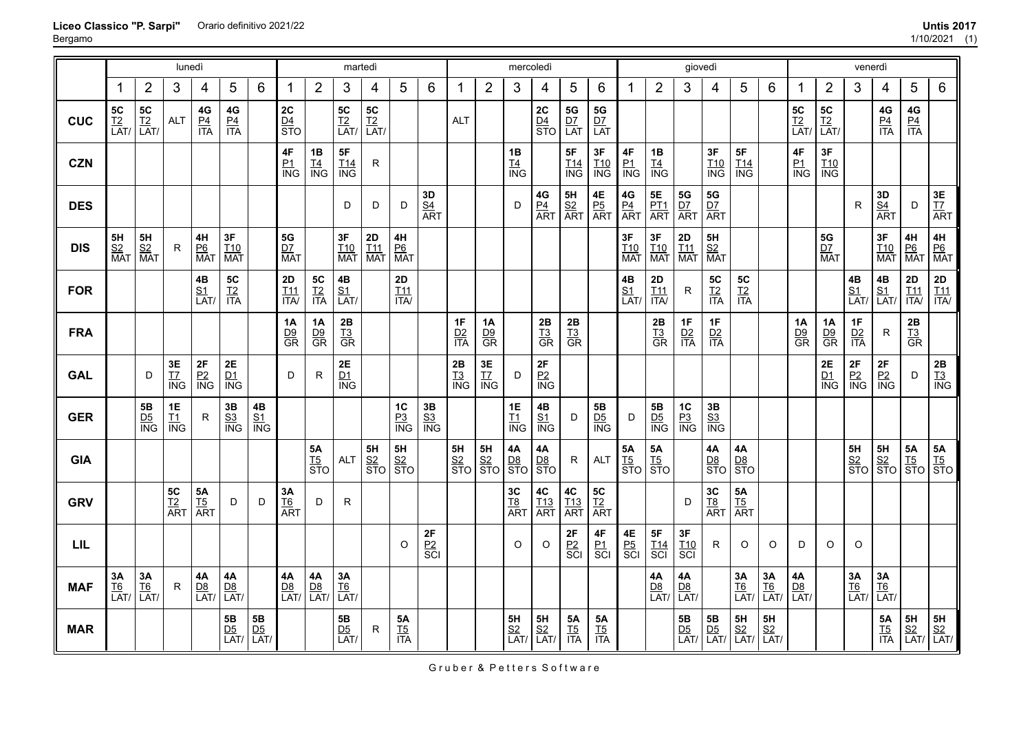|            |                                |                        | lunedì                 |                                 |                                       |                                              |                               |                                                               | martedì                        |                                |                                                 |                                |                      |                                     | mercoledì                      |                                |                                     |                               |                                                     |                                | giovedì                                      |                                                    |                                     |                          |                                |                                | venerdì                             |                                 |                                    |                                                                                                                      |
|------------|--------------------------------|------------------------|------------------------|---------------------------------|---------------------------------------|----------------------------------------------|-------------------------------|---------------------------------------------------------------|--------------------------------|--------------------------------|-------------------------------------------------|--------------------------------|----------------------|-------------------------------------|--------------------------------|--------------------------------|-------------------------------------|-------------------------------|-----------------------------------------------------|--------------------------------|----------------------------------------------|----------------------------------------------------|-------------------------------------|--------------------------|--------------------------------|--------------------------------|-------------------------------------|---------------------------------|------------------------------------|----------------------------------------------------------------------------------------------------------------------|
|            | 1                              | $\overline{2}$         | 3                      | 4                               | 5                                     | $6\phantom{1}$                               | 1                             | $\overline{2}$                                                | 3                              | 4                              | $5\phantom{.0}$                                 | 6                              | 1                    | $\overline{2}$                      | 3                              | 4                              | 5                                   | $6\phantom{1}6$               | 1                                                   | $\overline{2}$                 | 3                                            | $\overline{4}$                                     | 5                                   | 6                        | 1                              | $\overline{2}$                 | 3                                   | 4                               | 5                                  | $\,6\,$                                                                                                              |
| <b>CUC</b> | <b>5C</b><br><u>T2</u><br>LAT/ | $rac{TC}{LAT}$         | <b>ALT</b>             | $4\mathsf{G}$<br>$rac{P4}{ITA}$ | $rac{4G}{P4}$                         |                                              | 2C<br>$\frac{D4}{STO}$        |                                                               | <b>5C</b><br><u>T2</u><br>LAT/ | <b>5C</b><br><u>T2</u><br>LAT/ |                                                 |                                | <b>ALT</b>           |                                     |                                | $rac{2C}{\frac{D4}{STO}}$      | <b>5G</b><br><u>D7</u><br>LAT       | <b>5G</b><br><u>D7</u><br>LAT |                                                     |                                |                                              |                                                    |                                     |                          | <b>5C</b><br><u>T2</u><br>LAT/ | <b>5C</b><br><u>T2</u><br>LAT/ |                                     | $4\mathsf{G}$<br>$rac{P4}{ITA}$ | $4\mathsf{G}$<br>$rac{P4}{ITA}$    |                                                                                                                      |
| <b>CZN</b> |                                |                        |                        |                                 |                                       |                                              | $\frac{4F}{N}$                | 1B<br>$\underline{\underline{T4}}$<br>$\overline{\text{ING}}$ | 5F<br>$\frac{T14}{ING}$        | $\mathsf{R}$                   |                                                 |                                |                      |                                     | 1B<br>$TAING$                  |                                | $\frac{5F}{\frac{T14}{\text{ING}}}$ | 3F<br>T10<br>ING              | $\frac{4F}{N}$                                      | 1B<br>$T4ING$                  |                                              | 3F<br>$\frac{T10}{N}$                              | $\frac{5F}{\frac{114}{\text{ING}}}$ |                          | 4F<br>$\frac{P1}{P1}$          | <b>3F</b><br><u>T10</u><br>ING |                                     |                                 |                                    |                                                                                                                      |
| <b>DES</b> |                                |                        |                        |                                 |                                       |                                              |                               |                                                               | D                              | D                              | D                                               | <b>3D<br/><u>S4</u></b><br>ART |                      |                                     | D                              | $\frac{4G}{PA}$<br>ART         | $rac{5H}{S2}$<br>ART                | $\frac{4E}{P_0}$<br>ART       | $\frac{4G}{PA}$<br>ART                              | <b>5E</b><br><u>PT1</u><br>ART | $rac{5G}{D^7}$<br>ART                        | ${\bf 5G}$<br>$rac{\overline{D7}}{\overline{ART}}$ |                                     |                          |                                |                                | R                                   | $rac{3D}{\frac{S4}{ART}}$       | D                                  | 3E<br><u>T7</u><br>ART                                                                                               |
| <b>DIS</b> | 5H<br>$rac{S2}{MAT}$           | $rac{5H}{S^2}$<br>Mat  | R.                     | <b>4H</b><br><u>P6</u><br>MAT   | 3F<br><b>T10</b><br><b>MAT</b>        |                                              | 5G<br>$\frac{DZ}{MAT}$        |                                                               | <b>3F</b><br><u>T10</u><br>MAT | <b>2D</b><br><u>T11</u><br>Mat | 4H<br>$\frac{P6}{MAT}$                          |                                |                      |                                     |                                |                                |                                     |                               | 3F<br>$\frac{T10}{MAT}$                             | 3F<br>$rac{110}{MAT}$          | <b>2D</b><br><u>T11</u><br>Mat               | 5H<br><u>S2</u><br>MAT                             |                                     |                          |                                | 5G<br>$\frac{D7}{MAT}$         |                                     | <b>3F</b><br><u>T10</u><br>MAT  | $\frac{4H}{P_0}$<br>MAT            | $\begin{array}{c}\n\mathbf{4H} \\ \underline{\mathsf{P6}} \\ \overline{\mathsf{MAT}}\n\end{array}$                   |
| <b>FOR</b> |                                |                        |                        | 4B<br>$\frac{S1}{LAT}$          | <b>5C</b><br><u>T2</u><br>ITA         |                                              | 2D<br>I11<br>$\overline{ITA}$ | $rac{5C}{17A}$                                                | 4B<br>$\frac{S1}{LAT}$         |                                | $2\mathsf{D}$<br>I11<br>$\overline{\text{ITA}}$ |                                |                      |                                     |                                |                                |                                     |                               | 4B<br>$\underline{\mathsf{S1}}$<br>$\overline{LAT}$ | 2D<br>$\frac{T11}{1TA}$        | R                                            | <b>5C</b><br><u>T2</u><br>ITA                      | <b>5C</b><br><u>T2</u><br>ITA       |                          |                                |                                | $\frac{4B}{S1}$<br>LAT/             | 4B<br>$\frac{S1}{LAT}$          | $2\mathsf{D}$<br>$\frac{T11}{1TA}$ | $\frac{2D}{111}$                                                                                                     |
| <b>FRA</b> |                                |                        |                        |                                 |                                       |                                              | 1A<br>$rac{D9}{GR}$           | 1A<br>$\frac{\text{D}9}{\text{GR}}$                           | 2B<br>$rac{T3}{GR}$            |                                |                                                 |                                | 1F<br>$rac{D2}{ITA}$ | 1A<br>$\frac{\text{D9}}{\text{GR}}$ |                                | 2B<br>$rac{I_3}{GR}$           | 2B<br>$rac{T3}{GR}$                 |                               |                                                     | $rac{2B}{GB}$                  | 1F<br>$\frac{D2}{ITA}$                       | 1F<br>$rac{D2}{ITA}$                               |                                     |                          | 1A<br>$rac{D9}{GR}$            | 1A<br>$rac{D9}{GR}$            | 1F<br>$rac{D2}{ITA}$                | R                               | $rac{2B}{13}$<br>GR                |                                                                                                                      |
| <b>GAL</b> |                                | D                      | $rac{3E}{\text{N}}$    | $2\mathsf{F}$<br>$rac{P2}{P}$   | $2\mathsf{E}$<br>$\frac{D1}{N}$       |                                              | D                             | $\mathsf{R}$                                                  | 2E<br>D1<br><b>ING</b>         |                                |                                                 |                                | 2B<br>$rac{13}{10}$  | $rac{3E}{\text{N}}$                 | D                              | $\frac{2F}{N}$                 |                                     |                               |                                                     |                                |                                              |                                                    |                                     |                          |                                | 2E<br>$\frac{DI}{ING}$         | $\frac{2F}{N}$                      | $2\mathsf{F}$<br>$rac{P2}{P}$   | D                                  | $\frac{2B}{13}$<br>$\frac{13}{10}$                                                                                   |
| <b>GER</b> |                                | 5B<br>$rac{D5}{NG}$    | $1E$<br>$rac{11}{10}$  | $\mathsf{R}$                    | 3B<br>$rac{S3}{ING}$                  | $\frac{4B}{S1}$<br>$\frac{S1}{NG}$           |                               |                                                               |                                |                                | 1C<br>$rac{P3}{P}$                              | $\frac{3B}{1N}$                |                      |                                     | <b>1E</b><br>$rac{11}{10}$     | 4B<br>$rac{S1}{ING}$           | D                                   | 5B<br>$rac{D5}{NG}$           | D                                                   | 5B<br>$rac{D5}{NG}$            | $rac{PC}{P_3}$<br>$rac{P_3}{P_4}$            | $3\mathsf B$<br>$rac{S3}{ING}$                     |                                     |                          |                                |                                |                                     |                                 |                                    |                                                                                                                      |
| <b>GIA</b> |                                |                        |                        |                                 |                                       |                                              |                               | <b>5A</b><br>$rac{TS}{STO}$                                   | <b>ALT</b>                     | $rac{5H}{\frac{S2}{STO}}$      | 5H<br>$rac{S2}{STO}$                            |                                | $rac{5H}{STO}$       | $\frac{5H}{S2}$<br>$STO$            | $\frac{4A}{DB}$<br>STO         | 4A<br>$rac{D8}{STO}$           | R                                   | <b>ALT</b>                    | $\frac{5A}{15}$<br>STO                              | <b>5A</b><br>$rac{TS}{STO}$    |                                              | 4A<br>$rac{D8}{STO}$                               | $\frac{4A}{D8}$<br>STO              |                          |                                |                                | $\frac{5H}{S2}$<br>$\frac{S2}{STO}$ | $rac{5H}{S2}$<br>$STO$          | $\frac{5A}{15}$<br>STO             | $\frac{5A}{15}$<br>STO                                                                                               |
| <b>GRV</b> |                                |                        | 5C<br><u>T2</u><br>ART | $\frac{5A}{15}$<br>ART          | D                                     | D                                            | $\frac{3A}{16}$<br>ART        | D                                                             | $\mathsf{R}$                   |                                |                                                 |                                |                      |                                     | $rac{3C}{18}$<br>ART           | 4C<br>$rac{113}{ART}$          | 4C<br><u>T13</u><br>ART             | 5C<br><u>T2</u><br>ART        |                                                     |                                | D                                            | 3C<br>T8<br>ART                                    | <b>5A</b><br><u>T5</u><br>ART       |                          |                                |                                |                                     |                                 |                                    |                                                                                                                      |
| <b>LIL</b> |                                |                        |                        |                                 |                                       |                                              |                               |                                                               |                                |                                | $\circ$                                         | $rac{2F}{SC}$                  |                      |                                     | $\circ$                        | $\circ$                        | $rac{2F}{SC}$                       | $\frac{4F}{SC}$               | 4E<br><u>P5</u><br>SCI                              | 5F<br>$rac{T14}{SCI}$          | $rac{3F}{SCl}$                               | $\mathsf R$                                        | O                                   | O                        | D                              | O                              | O                                   |                                 |                                    |                                                                                                                      |
| <b>MAF</b> | 3A<br><u>T6</u><br>LAT/        | 3A<br>$\frac{T6}{LAT}$ | R                      | 4А<br>$\frac{D8}{LAT}$          | 4А<br>$\frac{D8}{LAT}$                |                                              | 4A<br>$\frac{D8}{LAT}$        | $4A$<br>$\frac{D8}{LAT}$                                      | 3A<br>$\frac{T6}{LAT}$         |                                |                                                 |                                |                      |                                     |                                |                                |                                     |                               |                                                     | 4A<br>$\frac{D8}{LAT}$         | 4A<br>$\frac{D8}{LAT}$                       |                                                    | 3A<br>$\frac{T6}{LAT}$              | $3A$<br>$\frac{T6}{LAT}$ | $4A$<br>$\frac{D8}{LAT}$       |                                | 3A<br>$\frac{T6}{LAT}$              | 3A<br>$\frac{T6}{LAT}$          |                                    |                                                                                                                      |
| <b>MAR</b> |                                |                        |                        |                                 | 5B<br>$\frac{\text{D5}}{\text{LAT/}}$ | 5B<br>$\frac{\overline{D5}}{\overline{LAT}}$ |                               |                                                               | <b>5B</b><br><u>D5</u><br>LAT/ | ${\sf R}$                      | 5A<br>$rac{TS}{ITA}$                            |                                |                      |                                     | <b>5H</b><br><u>S2</u><br>LAT/ | <b>5H</b><br><u>S2</u><br>LAT/ | <b>5A</b><br><u>T5</u><br>ITA       | <b>5A</b><br>$rac{TS}{ITA}$   |                                                     |                                | 5B<br>$\frac{\overline{D5}}{\overline{LAT}}$ | 5B<br>$\frac{\overline{D5}}{\overline{LAT}}$       | 5H<br>$\frac{S2}{LAT}$              | 5H<br>$\frac{S2}{LAT}$   |                                |                                |                                     | <b>5A</b><br>$rac{T5}{ITA}$     |                                    | $\begin{array}{c c}\n5H & 5H \\ \underline{S2} & \underline{S2} \\ \overline{LAT/} & \overline{LAT/} \\ \end{array}$ |

Gruber & Petters Software

## **Liceo Classico "P. Sarpi"** Orario definitivo 2021/22 **Untis 2017**

Bergamo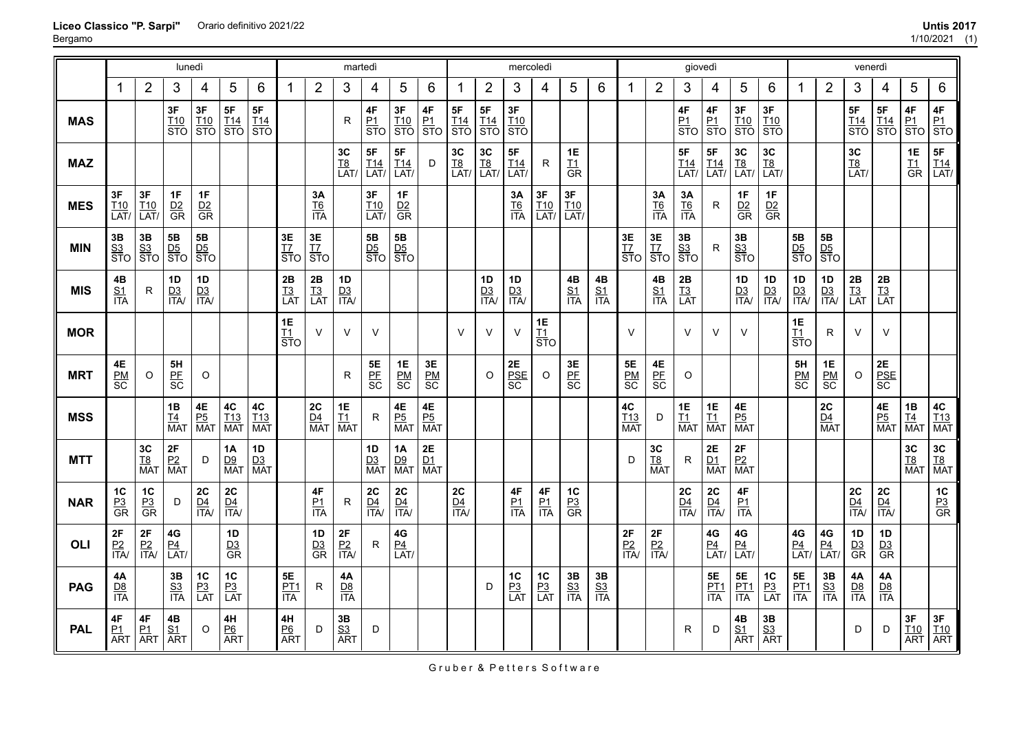|            |                                |                             | lunedì                                      |                                             |                                      |                         |                              |                                     | martedì                           |                                 |                                           |                           |                              |                                             | mercoledì                       |                         |                                    |                      |                         |                        | giovedì                           |                             |                                   |                                |                                            |                                             | venerdì                                |                                 |                                                                               |                              |
|------------|--------------------------------|-----------------------------|---------------------------------------------|---------------------------------------------|--------------------------------------|-------------------------|------------------------------|-------------------------------------|-----------------------------------|---------------------------------|-------------------------------------------|---------------------------|------------------------------|---------------------------------------------|---------------------------------|-------------------------|------------------------------------|----------------------|-------------------------|------------------------|-----------------------------------|-----------------------------|-----------------------------------|--------------------------------|--------------------------------------------|---------------------------------------------|----------------------------------------|---------------------------------|-------------------------------------------------------------------------------|------------------------------|
|            | 1                              | $\overline{2}$              | 3                                           | 4                                           | 5                                    | 6                       | 1                            | $\overline{2}$                      | 3                                 | 4                               | 5                                         | 6                         | -1                           | $\overline{2}$                              | $\mathbf{3}$                    | 4                       | 5                                  | 6                    | 1                       | $\overline{2}$         | 3                                 | 4                           | 5                                 | 6                              |                                            | $\overline{2}$                              | 3                                      | 4                               | 5                                                                             | 6                            |
| <b>MAS</b> |                                |                             | 3F<br>$\frac{T10}{STO}$                     | $rac{3F}{\text{STO}}$                       | 5F<br>$rac{T14}{STO}$                | 5F<br>$\frac{T14}{STO}$ |                              |                                     | $\mathsf{R}$                      | 4F<br><u>P1</u><br>STO          | 3F<br>$\frac{T10}{STO}$                   | 4F<br><u>P1</u><br>STO    | 5F<br>$rac{114}{\text{STO}}$ | 5F<br>$rac{T14}{STO}$                       | 3F<br>$\frac{T10}{STO}$         |                         |                                    |                      |                         |                        | 4F<br><u>P1</u><br>STO            | 4F<br>$rac{P_1}{STO}$       | 3F<br>$\frac{T10}{STO}$           | 3F<br>$\frac{T10}{STO}$        |                                            |                                             | 5F<br>$\frac{T14}{STO}$                | 5F<br>$\frac{T14}{STO}$         | 4F<br>$\left \frac{\vec{p}_1}{\text{STO}}\right \frac{\vec{p}_1}{\text{STO}}$ | 4F                           |
| <b>MAZ</b> |                                |                             |                                             |                                             |                                      |                         |                              |                                     | <b>3C</b><br><u>T8</u><br>LAT/    | <b>5F</b><br><u>T14</u><br>LAT/ | $5\mathsf{F}$<br>$\frac{T14}{LAT}$        | D                         | $rac{3C}{LAT}$               | $\left  \frac{\text{3C}}{\text{L}} \right $ | 5F<br>T <sub>14</sub><br>LAT/   | $\mathsf R$             | 1E<br>$rac{I1}{GR}$                |                      |                         |                        | <b>5F</b><br><u>T14</u><br>LAT/   | 5F<br>$\frac{T14}{LAT}$     | 3C<br>$\frac{T8}{LAT}$            | <b>3C</b><br><u>T8</u><br>LAT/ |                                            |                                             | <b>3C</b><br><u>T8</u><br>LAT/         |                                 | <b>1E</b><br>$rac{I1}{GR}$                                                    | $5F$<br>$\frac{T14}{LAT}$    |
| <b>MES</b> | 3F<br>I10<br>LAT               | $3F$<br>$\frac{T10}{LAT}$   | 1F<br>$rac{D2}{GR}$                         | 1F<br>$rac{D2}{GR}$                         |                                      |                         |                              | <b>3A</b><br><u>T6</u><br>ITA       |                                   | <b>3F</b><br><u>T10</u><br>LAT/ | $rac{1F}{GR}$                             |                           |                              |                                             | 3A<br>$rac{T6}{1TA}$            | 3F<br>$\frac{T10}{LAT}$ | $3\textrm{F}$<br>$\frac{T10}{LAT}$ |                      |                         | 3Α<br>$rac{T6}{1TA}$   | 3A<br>$rac{T6}{1TA}$              | R.                          | 1F<br>$rac{D2}{GR}$               | 1F<br>$rac{D2}{GR}$            |                                            |                                             |                                        |                                 |                                                                               |                              |
| <b>MIN</b> | $3\mathsf B$<br>$rac{S3}{STO}$ | $\frac{3B}{\frac{S3}{STO}}$ | 5B<br>$rac{\overline{D5}}{\overline{ST}}$ O | 5B<br>$rac{\overline{D5}}{\overline{ST}}$ O |                                      |                         | 3E<br>$rac{17}{570}$         | 3E<br>$rac{17}{570}$                |                                   | $\frac{5B}{D5}$<br>STO          | $rac{5B}{\text{STO}}$                     |                           |                              |                                             |                                 |                         |                                    |                      | 3E<br>$rac{17}{570}$    | 3E<br><u>T7</u><br>STO | $rac{3B}{\frac{S3}{STO}}$         | R                           | $\frac{3B}{S3}$<br>STO            |                                | 5B<br>$rac{\overline{D5}}{\overline{STO}}$ | 5B<br>$rac{\overline{D5}}{\overline{ST}}$ O |                                        |                                 |                                                                               |                              |
| <b>MIS</b> | 4B<br>$rac{S1}{ITA}$           | R.                          | 1D<br>$\frac{D3}{ITA}$                      | 1D<br>$\frac{D3}{ITA}$                      |                                      |                         | 2B<br>$\frac{T3}{LAT}$       | 2B<br>$\frac{T3}{LAT}$              | 1D<br>$\frac{D3}{ITA}$            |                                 |                                           |                           |                              | 1D<br>$\frac{D3}{ITA}$                      | 1D<br>$\frac{D3}{ITA}$          |                         | 4B<br>$rac{S1}{ITA}$               | 4B<br>$rac{S1}{ITA}$ |                         | 4B<br>$rac{S1}{ITA}$   | $2\mathsf{B}$<br>$\frac{T3}{LAT}$ |                             | 1D<br>$\frac{D3}{ITA}$            | 1D<br>$\frac{D3}{ITA}$         | 1D<br>$\frac{D3}{ITA}$                     | 1D<br>$\frac{D3}{ITA}$                      | $2\mathsf{B}$<br>$\frac{1}{13}$<br>LAT | 2B<br>$\frac{T3}{LAT}$          |                                                                               |                              |
| <b>MOR</b> |                                |                             |                                             |                                             |                                      |                         | 1E<br>$rac{11}{STO}$         | $\vee$                              | $\vee$                            | $\vee$                          |                                           |                           | $\vee$                       | $\vee$                                      | $\vee$                          | 1E<br>$rac{T_1}{STO}$   |                                    |                      | $\vee$                  |                        | $\vee$                            | $\vee$                      | $\vee$                            |                                | 1E<br>$\frac{I1}{STO}$                     | R                                           | $\vee$                                 | $\vee$                          |                                                                               |                              |
| <b>MRT</b> | 4E<br>$rac{PM}{SC}$            | O                           | 5H<br>$rac{\overline{PF}}{\overline{SC}}$   | $\circ$                                     |                                      |                         |                              |                                     | R                                 | <b>SE</b><br><u>PF</u><br>SC    | 1E<br>$rac{\overline{PM}}{\overline{SC}}$ | 3E<br>$rac{PM}{SC}$       |                              | $\circ$                                     | $2\mathsf{E}$<br>$rac{PSE}{SC}$ | $\circ$                 | 3E<br>PF<br>SC                     |                      | $5E$<br>$rac{PM}{SC}$   | $\frac{4E}{SE}$        | O                                 |                             |                                   |                                | 5H<br>$rac{PM}{SC}$                        | 1E<br>$rac{PM}{SC}$                         | $\circ$                                | $2\mathsf{E}$<br>$rac{PSE}{SC}$ |                                                                               |                              |
| <b>MSS</b> |                                |                             | $\frac{1}{14}$<br>MAT                       | $\frac{4E}{P_0}$<br>MAT                     | 4C<br>$\frac{T13}{MAT}$              | <b>4C</b><br>T13<br>MAT |                              | 2C<br>$\overline{D4}$<br><b>MAT</b> | $\frac{1E}{\frac{11}{MAT}}$       | R                               | 4E<br>$rac{P5}{MAT}$                      | $\frac{4E}{P_0}$<br>Mat   |                              |                                             |                                 |                         |                                    |                      | 4C<br>$\frac{T13}{MAT}$ | D                      | $\frac{1E}{\frac{11}{MAT}}$       | <b>1E</b><br>$rac{11}{MAT}$ | 4E<br>$rac{P5}{MAT}$              |                                |                                            | ${\bf 2C}$<br>$\frac{D4}{MAT}$              |                                        | 4E<br><u>P5</u><br>Mat          | $\frac{1B}{\frac{T4}{MAT}}$                                                   | $rac{4C}{\frac{113}{MAT}}$   |
| <b>MTT</b> |                                | 3C<br>$rac{TS}{MAT}$        | $rac{2F}{P2}$<br>Mat                        | D                                           | 1A<br>D9<br>MAT                      | 1D<br>$\frac{D3}{MAT}$  |                              |                                     |                                   | 1D<br>$\frac{D3}{MAT}$          | 1A<br>$\frac{D9}{MAT}$                    | $rac{2E}{\frac{D1}{MAT}}$ |                              |                                             |                                 |                         |                                    |                      | D                       | 3C<br>$rac{TS}{MAT}$   | R                                 | 2E<br>$\frac{D1}{MAT}$      | 2F<br>$\frac{P2}{MAT}$            |                                |                                            |                                             |                                        |                                 | $rac{3C}{T_{\text{B}}}{\overline{\text{MAT}}}$                                | $rac{3C}{T_{\text{A}}^8}$    |
| <b>NAR</b> | 1C<br>$rac{P3}{GR}$            | $rac{PC}{C}$<br>GR          | D                                           | $rac{2C}{\frac{D4}{1TA}}$                   | $2C$<br>$\frac{D4}{1TA}$             |                         |                              | $\frac{4F}{1TA}$                    | R                                 | <b>2C</b><br><u>D4</u><br>ITA/  | $2C$<br>$\frac{D4}{1TA}$                  |                           | 2C<br>$\frac{D4}{1TA}$       |                                             | $\frac{4F}{1TA}$                | $4F$<br>$rac{P1}{ITA}$  | $rac{PC}{C}$<br>GR                 |                      |                         |                        | <b>2C</b><br><u>D4</u><br>ITA/    | 2C<br>$\frac{D4}{ITA}$      | $4\mathsf{F}$<br>$\frac{P1}{ITA}$ |                                |                                            |                                             | $rac{2C}{\frac{D4}{1TA}}$              | 2C<br>$\frac{D4}{1TA}$          |                                                                               | $rac{P3}{GR}$                |
| OLI        | $\frac{2F}{1T}$                | $\frac{2F}{1T}$             | $4\mathsf{G}$<br>$\frac{P4}{LAT}$           |                                             | $1D$<br>$rac{D3}{GR}$                |                         |                              | 1D<br>$rac{D3}{GR}$                 | $\frac{2F}{1T}$                   | R                               | 4G<br>$\frac{P4}{LAT}$                    |                           |                              |                                             |                                 |                         |                                    |                      | $\frac{2F}{1TA}$        | $\frac{2F}{1TAV}$      |                                   | 4G<br>$\frac{P4}{LAT}$      | 4G<br>$\frac{P4}{LAT}$            |                                | 4G<br>$\frac{P4}{LAT}$                     | 4G<br>$\frac{P4}{LAT}$                      | 1D<br>$rac{D3}{GR}$                    | 1D<br>$rac{D3}{GR}$             |                                                                               |                              |
| <b>PAG</b> | 4Α<br>$\frac{D8}{ITA}$         |                             | $rac{3B}{1TA}$                              | $rac{PC}{P_3}$<br>LAT                       | $1\text{C}$<br>$rac{P3}{LAT}$        |                         | <b>5E</b><br>$rac{PT1}{ITA}$ | R                                   | $4\mathsf{A}$<br>$\frac{D8}{ITA}$ |                                 |                                           |                           |                              | D                                           | $rac{P_3}{P_4}$                 | $rac{PC}{P_3}$<br>LAT   | 3B<br>$rac{S3}{ITA}$               | 3B<br>$rac{S3}{ITA}$ |                         |                        |                                   | 5E<br>$rac{PT1}{ITA}$       | 5E<br>$rac{PT1}{ITA}$             | $rac{P_3}{P_4}$                | <b>5E</b><br><u>PT1</u><br>ITA             | $3\mathsf B$<br>$rac{S3}{ITA}$              | $4A$<br>$rac{D8}{ITA}$                 | 4А<br>$\frac{D8}{ITA}$          |                                                                               |                              |
| <b>PAL</b> | 4F<br>$rac{P1}{ART}$           | 4F<br>$rac{P1}{ART}$        | 4B<br>$\frac{S1}{ART}$                      | $\circ$                                     | 4H<br>$\underline{P6}$<br><b>ART</b> |                         | 4H<br>$rac{P6}{ART}$         | D                                   | $rac{3B}{S_3}$<br>ART             | D                               |                                           |                           |                              |                                             |                                 |                         |                                    |                      |                         |                        | R                                 | D                           | 4B<br>$rac{S1}{ART}$              | 3B<br>$rac{S3}{ART}$           |                                            |                                             | D                                      | D                               | 3F<br>$\frac{T10}{ART}$                                                       | $\frac{3F}{\frac{110}{ART}}$ |

Gruber & Petters Software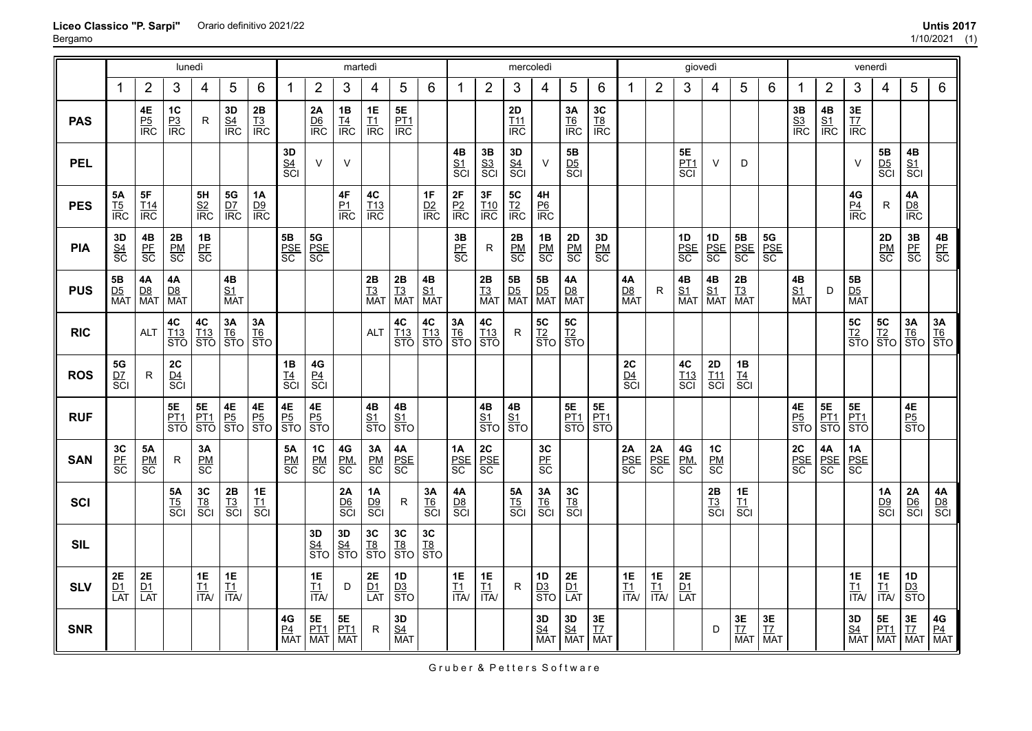|            |                                           |                                                                                                    | lunedì                                         |                                   |                               |                               |                             |                                                                  |                                       | martedì                           |                                       |                                   |                                           |                                    | mercoledì                           |                        |                                                         |                                |                                    |                                    | giovedì                            |                                         |                              |                                                                |                             |                                | venerdì                                             |                                |                           |                                                                                   |
|------------|-------------------------------------------|----------------------------------------------------------------------------------------------------|------------------------------------------------|-----------------------------------|-------------------------------|-------------------------------|-----------------------------|------------------------------------------------------------------|---------------------------------------|-----------------------------------|---------------------------------------|-----------------------------------|-------------------------------------------|------------------------------------|-------------------------------------|------------------------|---------------------------------------------------------|--------------------------------|------------------------------------|------------------------------------|------------------------------------|-----------------------------------------|------------------------------|----------------------------------------------------------------|-----------------------------|--------------------------------|-----------------------------------------------------|--------------------------------|---------------------------|-----------------------------------------------------------------------------------|
|            | $\mathbf 1$                               | $\overline{2}$                                                                                     | 3                                              | 4                                 | 5                             | 6                             | -1                          | $\overline{2}$                                                   | 3                                     | 4                                 | 5                                     | 6                                 | 1                                         | $\overline{2}$                     | 3                                   | 4                      | 5                                                       | 6                              | 1                                  | $\overline{2}$                     | 3                                  | 4                                       | 5                            | 6                                                              | 1                           | $\overline{2}$                 | 3                                                   | 4                              | 5                         | 6                                                                                 |
| <b>PAS</b> |                                           | 4E<br>$rac{P5}{IRC}$                                                                               | $1C$<br>$rac{P3}{IRC}$                         | $\mathsf{R}$                      | 3D<br>$rac{S4}{IRC}$          | $\frac{2B}{13}$<br>IRC        |                             | 2A<br>$rac{D6}{IRC}$                                             | $\frac{1B}{IRC}$                      | $\frac{1E}{IRC}$                  | 5E<br>$rac{PT1}{IRC}$                 |                                   |                                           |                                    | 2D<br>$rac{111}{100}$               |                        | 3A<br>$rac{T6}{IRC}$                                    | $rac{3C}{18}$<br>IRC           |                                    |                                    |                                    |                                         |                              |                                                                | $rac{3B}{S_3}$<br>IRC       | 4B<br>$rac{S1}{IRC}$           | $rac{3E}{\text{IZ}}$<br>$\frac{17}{\text{IRC}}$     |                                |                           |                                                                                   |
| <b>PEL</b> |                                           |                                                                                                    |                                                |                                   |                               |                               | $rac{3D}{\text{S4}}$<br>SCI | $\vee$                                                           | V                                     |                                   |                                       |                                   | $rac{4B}{S}$<br>$rac{S1}{S}$              | $rac{3B}{S^3}$<br>SCI              | $rac{3D}{\text{S4}}$<br>SCI         | $\vee$                 | 5B<br>$rac{D5}{SCI}$                                    |                                |                                    |                                    | 5E<br><u>PT1</u><br>SCI            | $\vee$                                  | D                            |                                                                |                             |                                | $\vee$                                              | <b>5B</b><br><u>D5</u><br>SCI  | 4B<br>$rac{S1}{SCI}$      |                                                                                   |
| <b>PES</b> | <b>5A</b><br>$rac{15}{18}$                | 5F<br>$rac{T14}{IRC}$                                                                              |                                                | 5H<br>$rac{S2}{IRC}$              | <b>5G</b><br><u>D7</u><br>IRC | 1A<br>$\frac{D9}{\text{IRC}}$ |                             |                                                                  | 4F<br>$\frac{P1}{IRC}$                | 4C<br>$rac{T13}{IRC}$             |                                       | 1F<br>$rac{D2}{IRC}$              | 2F<br>$\frac{P2}{IRC}$                    | 3F<br>$rac{T10}{\text{IRC}}$       | 5C<br>T2<br>IRC                     | 4H<br>$rac{P6}{IRC}$   |                                                         |                                |                                    |                                    |                                    |                                         |                              |                                                                |                             |                                | 4G<br>$rac{P4}{IRC}$                                | $\mathsf{R}$                   | 4A<br>$rac{D8}{IRC}$      |                                                                                   |
| <b>PIA</b> | 3D<br>$rac{S4}{SC}$                       | $rac{4B}{\text{PE}}$<br>SC                                                                         | $\frac{\mathsf{2B}}{\mathsf{BM}}{\mathsf{SC}}$ | $\frac{1}{2}$ $\frac{PE}{SC}$     |                               |                               | 5B<br>PSE<br>SC             | $\frac{\mathbf{5G}}{\text{PSE}} \\ \frac{\text{PSE}}{\text{SC}}$ |                                       |                                   |                                       |                                   | 3B<br>$rac{\overline{PF}}{\overline{SC}}$ | $\mathsf R$                        | 2B<br>$rac{PM}{SC}$                 | 1B<br>$rac{PM}{SC}$    | 2D<br>$rac{\overline{PM}}{\overline{SC}}$               | 3D<br>$rac{PM}{SC}$            |                                    |                                    | 1D<br>$rac{PSE}{SC}$               | 1D<br>$rac{\text{PSE}}{\text{SC}}$      | 5B<br>PSE<br>SC              | $\frac{\mathbf{5G}}{\text{PSE}}\ \frac{\text{PSE}}{\text{SC}}$ |                             |                                |                                                     | $\frac{2D}{EM}$<br>SC          | $\frac{3B}{\text{PE}}$    | $rac{4B}{\text{PE}}$<br>SC                                                        |
| <b>PUS</b> | 5B<br>$\frac{D5}{MAT}$                    | $\begin{array}{c}\n\textbf{4A} \\ \underline{\textbf{D8}} \\ \overline{\textbf{MAT}}\n\end{array}$ | $4A$<br>$\frac{DB}{MAT}$                       |                                   | 4B<br>$rac{S1}{MAT}$          |                               |                             |                                                                  |                                       | $\frac{2B}{T3}$<br>Mat            | $\frac{2B}{T3}$<br>Mat                | $\frac{4B}{S1}$<br>MAT            |                                           | $\frac{2B}{T3}$<br>Mat             | <b>5B</b><br><u>D5</u><br>MAT       | 5B<br>$\frac{D5}{MAT}$ | 4A<br>$\frac{DB}{MAT}$                                  |                                | 4A<br>$\frac{D8}{MAT}$             | $\mathsf{R}$                       | $\frac{\mathsf{S1}}{\mathsf{SAT}}$ | 4B<br>$\frac{S1}{MAT}$                  | 2B<br>$\frac{12}{13}$<br>MAT |                                                                | 4B<br>$rac{S1}{MAT}$        | D                              | 5B<br><u>D5</u><br>MAT                              |                                |                           |                                                                                   |
| <b>RIC</b> |                                           | <b>ALT</b>                                                                                         | $4\mathrm{C}$<br>$rac{113}{STO}$               | $rac{4C}{\frac{113}{\text{STO}}}$ | <b>3A</b><br><u>T6</u><br>STO | $rac{3A}{16}$<br>STO          |                             |                                                                  |                                       | <b>ALT</b>                        | 4C<br>$rac{T13}{STO}$                 | $rac{4C}{\frac{113}{\text{STO}}}$ | <b>3A</b><br><u>T6</u><br>STO             | 4C<br>$\frac{T13}{STO}$            | R.                                  | 5C<br>$rac{T2}{STO}$   | $rac{TC}{STO}$                                          |                                |                                    |                                    |                                    |                                         |                              |                                                                |                             |                                | 5C<br>T2<br>STO                                     | 5C<br>T2<br>STO                | $\frac{3A}{16}$<br>STO    | $rac{3A}{16}$<br>STO                                                              |
| <b>ROS</b> | 5G<br>$rac{\overline{D7}}{\overline{SC}}$ | R.                                                                                                 | 2C<br>$rac{D4}{SC}$                            |                                   |                               |                               | 1B<br>$rac{T4}{SC}$         | $rac{4G}{8Cl}$                                                   |                                       |                                   |                                       |                                   |                                           |                                    |                                     |                        |                                                         |                                | 2C<br>$rac{D4}{SC}$                |                                    | $rac{4C}{SCI}$                     | 2D<br>$rac{T11}{SCI}$                   | $\frac{1B}{\frac{T4}{SC}}$   |                                                                |                             |                                |                                                     |                                |                           |                                                                                   |
| <b>RUF</b> |                                           |                                                                                                    | <b>5E</b><br>PT1<br>STO                        | <b>5E</b><br><u>PT1</u><br>STO    | $\frac{4E}{P_2^5}$            | $\frac{4E}{\frac{P5}{STO}}$   | 4E<br>P5<br>STO             | $\frac{4E}{P_5}$<br>STO                                          |                                       | 4B<br>$rac{S1}{STO}$              | $\frac{4B}{S1}$<br>$\frac{S1}{STO}$   |                                   |                                           | $\frac{4B}{S1}$                    | $\frac{4B}{S1}$<br>$\frac{S1}{STO}$ |                        | $\frac{\mathsf{BE}}{\frac{\mathsf{PT1}}{\mathsf{STO}}}$ | <b>5E</b><br><u>PT1</u><br>STO |                                    |                                    |                                    |                                         |                              |                                                                | $\frac{4E}{P_5}$<br>STO     | <b>5E</b><br><u>PT1</u><br>STO | $\frac{\mathbf{5E}}{\frac{\text{PT1}}{\text{STO}}}$ |                                | 4E<br>$rac{P5}{STO}$      |                                                                                   |
| <b>SAN</b> | $\frac{3C}{\text{PF}}$                    | <b>5A</b><br>$rac{PM}{SC}$                                                                         | ${\sf R}$                                      | 3A<br>$rac{PM}{SC}$               |                               |                               | $rac{5A}{8C}$               | $\frac{1}{2}$ $\frac{PM}{SC}$                                    | 4G<br>$rac{PM}{SC}$                   | 3A<br>$rac{PM}{SC}$               | $\frac{\mathsf{4A}}{\mathsf{PSE}}$ SC |                                   | 1A<br>$rac{\text{PSE}}{\text{SC}}$        | $rac{\text{PC}}{\text{PSE}}$<br>SC |                                     | 3C<br>PF<br>SC         |                                                         |                                | $\frac{\mathsf{PSE}}{\mathsf{SC}}$ | $\frac{\mathsf{pSE}}{\mathsf{SC}}$ | 4G<br>PM,<br>SC                    | 1C<br>$\frac{\mathsf{PM}}{\mathsf{SC}}$ |                              |                                                                | $rac{2C}{\text{PSE}}$<br>SC | $\frac{4A}{\text{PSE}}$        | $\frac{1A}{PSE}$                                    |                                |                           |                                                                                   |
| SCI        |                                           |                                                                                                    | <b>5A</b><br>$rac{15}{\text{SCI}}$             | 3C<br>$rac{TS}{SC}$               | $rac{2B}{13}$<br>SCI          | 1E<br>$rac{11}{5}$            |                             |                                                                  | 2A<br>$rac{D6}{SCI}$                  | 1A<br>$rac{D9}{SCI}$              | ${\sf R}$                             | $3A$<br>$rac{16}{\text{SCI}}$     | 4A<br>$rac{D8}{SC}$                       |                                    | <b>5A</b><br>$rac{15}{\text{SCI}}$  | 3A<br>$rac{T6}{SCI}$   | 3C<br>$rac{TS}{SC}$                                     |                                |                                    |                                    |                                    | 2B<br>$rac{13}{5}$ CI                   | 1E<br>$rac{11}{\text{SCI}}$  |                                                                |                             |                                |                                                     | 1A<br>$rac{D9}{SCI}$           | 2A<br>$rac{1}{\sqrt{20}}$ | $\frac{4A}{DB}$<br>SCI                                                            |
| <b>SIL</b> |                                           |                                                                                                    |                                                |                                   |                               |                               |                             | 3D<br><u>S4</u><br>STO                                           | $rac{3D}{\frac{S4}{STO}}$             | 3C<br>$rac{18}{570}$              | $rac{3C}{18}$<br>STO                  | $rac{3C}{18}$<br>STO              |                                           |                                    |                                     |                        |                                                         |                                |                                    |                                    |                                    |                                         |                              |                                                                |                             |                                |                                                     |                                |                           |                                                                                   |
| <b>SLV</b> | $rac{2E}{LAT}$                            | $\frac{2E}{LAT}$                                                                                   |                                                | <b>1E</b><br>$\frac{T1}{1TA}$     | <b>1E</b><br>$\frac{11}{1}$   |                               |                             | <b>1E</b><br>$\frac{T1}{1TA}$                                    | D                                     | $2\mathsf{E}$<br>$\frac{D1}{LAT}$ | 1D<br>$rac{D3}{STO}$                  |                                   | $\frac{1E}{11}$<br>$\frac{11}{11}$        | 1E<br>$\frac{11}{11}$              | R                                   | 1D<br>$rac{D3}{STO}$   | <b>2E</b><br>$\frac{D1}{LAT}$                           |                                | 1E<br>$rac{11}{11}$                | $\frac{1E}{11}$<br>$\frac{11}{11}$ | <b>2E</b><br><u>D1</u><br>LAT      |                                         |                              |                                                                |                             |                                | $\frac{1E}{11}$<br>$\frac{11}{11}$                  | 1E<br>$\frac{11}{11}$          | 1D<br>$rac{D3}{STO}$      |                                                                                   |
| <b>SNR</b> |                                           |                                                                                                    |                                                |                                   |                               |                               | 4G<br>$\frac{P4}{MAT}$      | <b>5E</b><br><u>PT1</u><br>MAT                                   | <b>5E</b><br><u>PT1</u><br><b>MAT</b> | R                                 | $\frac{\mathsf{S4}}{\mathsf{MAT}}$    |                                   |                                           |                                    |                                     | 3D<br>$rac{S4}{MAT}$   | $\frac{\mathsf{S4}}{\mathsf{MAT}}$                      | 3E<br><u>T7</u><br>MAT         |                                    |                                    |                                    | D                                       | 3E<br>IZ<br><b>MAT</b>       | 3E<br><u>T7</u><br>MAT                                         |                             |                                | $\frac{3D}{\frac{S4}{MAT}}$                         | <b>5E</b><br><u>PT1</u><br>MAT | 3E<br><u>T7</u><br>MAT    | $\begin{array}{r} \n\textbf{4G} \\ \frac{\textbf{P4}}{\textbf{MAT}}\n\end{array}$ |

Gruber & Petters Software

### **Liceo Classico "P. Sarpi"** Orario definitivo 2021/22 **Untis 2017**

Bergamo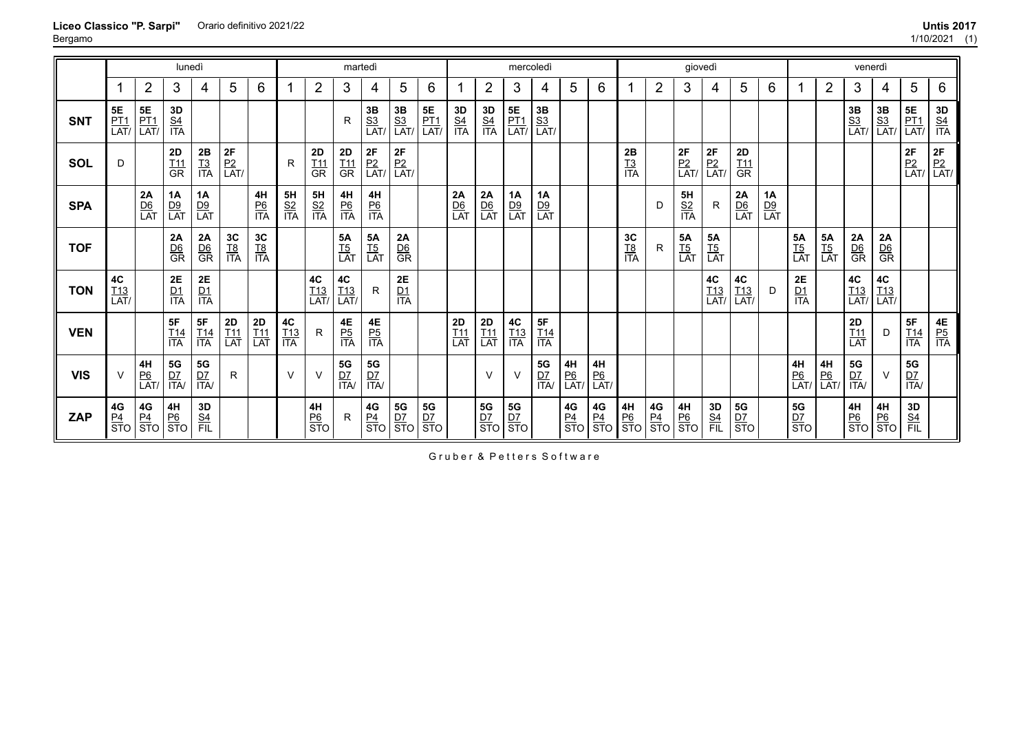|            |                                 |                                                                                                     | lunedì                         |                                       |                                  |                                  |                         |                         | martedì                        |                                |                                    |                                                                                                                                                     |                         |                                    | mercoledì                                                                                 |                                |                             |                                |                                     |                             | giovedì                 |                               |                                 |                        |                                                    |                         | venerdì                                        |                                                                             |                                                                                           |                                |
|------------|---------------------------------|-----------------------------------------------------------------------------------------------------|--------------------------------|---------------------------------------|----------------------------------|----------------------------------|-------------------------|-------------------------|--------------------------------|--------------------------------|------------------------------------|-----------------------------------------------------------------------------------------------------------------------------------------------------|-------------------------|------------------------------------|-------------------------------------------------------------------------------------------|--------------------------------|-----------------------------|--------------------------------|-------------------------------------|-----------------------------|-------------------------|-------------------------------|---------------------------------|------------------------|----------------------------------------------------|-------------------------|------------------------------------------------|-----------------------------------------------------------------------------|-------------------------------------------------------------------------------------------|--------------------------------|
|            |                                 | $\overline{2}$                                                                                      | 3                              | 4                                     | 5                                | 6                                |                         | $\overline{2}$          | 3                              | 4                              | 5                                  | 6                                                                                                                                                   |                         | $\overline{2}$                     | 3                                                                                         | 4                              | 5                           | 6                              |                                     | $\overline{2}$              | 3                       | 4                             | 5                               | 6                      | 1                                                  | $\overline{2}$          | 3                                              | 4                                                                           | 5                                                                                         | 6                              |
| <b>SNT</b> | <b>5E</b><br><u>PT1</u><br>LAT/ | $\begin{array}{c} 5E \\ \underline{\mathsf{PT1}} \\ \underline{\mathsf{LAT}} \end{array}$           | $rac{3D}{\frac{SA}{ITA}}$      |                                       |                                  |                                  |                         |                         | R                              | $\frac{3B}{S_3}$<br>LAT        | $\frac{3B}{S3}$<br>LAT/            | $\begin{array}{c} \n\overline{\mathbf{5}}\mathbf{E} \\ \underline{\mathbf{P}\mathbf{T1}} \\ \overline{\mathbf{L}\mathbf{A}\mathbf{T}}\n\end{array}$ | $rac{3D}{S4}$           | <b>3D<br/><u>S4</u></b><br>ITA     | $\begin{array}{c} 5E \\ \underline{\mathsf{PT1}} \\ \underline{\mathsf{LAT}} \end{array}$ | <b>3B</b><br><u>S3</u><br>LAT/ |                             |                                |                                     |                             |                         |                               |                                 |                        |                                                    |                         | $\begin{array}{c} 3B \\ S3 \\ LAT \end{array}$ | $\begin{array}{c}\n 3B \\  \underline{S3} \\  \underline{LAT}\n\end{array}$ | $\begin{array}{c} 5E \\ \underline{\mathsf{PT1}} \\ \underline{\mathsf{LAT}} \end{array}$ | $rac{3D}{\frac{S4}{ITA}}$      |
| <b>SOL</b> | D                               |                                                                                                     | $rac{2D}{GR}$                  | $\frac{2B}{13}$<br>$\frac{13}{17A}$   | $rac{2F}{P^2}$<br>LAT/           |                                  | R                       | 2D<br>$rac{I11}{GR}$    | 2D<br>$rac{T11}{GR}$           | $\frac{2F}{P2}$<br>LAT/        | $\left \frac{2F}{P_2}\right $ LAT/ |                                                                                                                                                     |                         |                                    |                                                                                           |                                |                             |                                | $\frac{2B}{13}$<br>$\frac{13}{17A}$ |                             | $\frac{2F}{P2}$<br>LAT/ | $\frac{2F}{P2}$<br>LAT/       | $2D$<br>$\underline{T11}$<br>GR |                        |                                                    |                         |                                                |                                                                             | $rac{2F}{P2}$<br>LAT/                                                                     | <b>2F</b><br><u>P2</u><br>LAT/ |
| <b>SPA</b> |                                 | $\frac{2A}{DB}$                                                                                     | $\frac{1A}{DB}$<br>LAT         | 1A<br>$\frac{D9}{LAT}$                |                                  | 4H<br>$rac{P6}{ITA}$             | $rac{5H}{S2}$<br>ITA    | $rac{5H}{S2}$<br>ITA    | 4H<br>$rac{P6}{ITA}$           | 4H<br><u>P6</u><br>ITA         |                                    |                                                                                                                                                     | $\frac{2A}{DB}$         | $\frac{2A}{DB}$                    | $\frac{1A}{DB}$<br>LAT                                                                    | 1A<br>$\frac{D9}{LAT}$         |                             |                                |                                     | D                           | $rac{5H}{S2}$<br>ITA    | $\mathsf{R}$                  | $\frac{2A}{DB}$                 | $\frac{1A}{DB}$<br>LAT |                                                    |                         |                                                |                                                                             |                                                                                           |                                |
| <b>TOF</b> |                                 |                                                                                                     | $\frac{2A}{DB}$                | $\frac{2A}{DB}$                       | $rac{3C}{18}$<br>$rac{18}{17A}$  | $rac{3C}{18}$<br>ITA             |                         |                         | <b>5A</b><br><u>T5</u><br>LAT  | <b>5A</b><br><u>T5</u><br>LAT  | $\frac{2A}{DB}$                    |                                                                                                                                                     |                         |                                    |                                                                                           |                                |                             |                                | 3C<br>$rac{TS}{ITA}$                | R                           | $\frac{5A}{15}$<br>LAT  | <b>5A</b><br><u>T5</u><br>LAT |                                 |                        | <b>5A</b><br><u>T5</u><br>LAT                      | $\frac{5A}{15}$<br>LAT  | $\frac{2A}{DB}$                                | $\frac{2A}{DB}$                                                             |                                                                                           |                                |
| <b>TON</b> | 4C<br>$\frac{T13}{LAT}$         |                                                                                                     | $rac{2E}{11}$                  | $2E$<br>$\frac{D1}{1TA}$              |                                  |                                  |                         | 4C<br>$\frac{T13}{LAT}$ | $rac{4C}{LAT}$                 | $\mathsf{R}$                   | $2\mathsf{E}$<br>$\frac{D1}{ITA}$  |                                                                                                                                                     |                         |                                    |                                                                                           |                                |                             |                                |                                     |                             |                         | 4C<br>$\frac{T13}{LAT}$       | 4C<br>$\frac{T13}{LAT}$         | D                      | 2E<br>$\frac{D1}{ITA}$                             |                         | 4C<br>$\frac{T13}{LAT}$                        | $rac{4C}{LAT}$                                                              |                                                                                           |                                |
| <b>VEN</b> |                                 |                                                                                                     | 5F<br>$\frac{T14}{ITA}$        | $\frac{5F}{114}$<br>$\frac{T14}{1TA}$ | $2D$<br>$\underline{T11}$<br>LAT | $2D$<br>$\underline{T11}$<br>LAT | <b>4C</b><br>T13<br>ITA | R                       | $rac{4E}{P5}$                  | <b>4E</b><br><u>P5</u><br>ITA  |                                    |                                                                                                                                                     | 2D<br>$\frac{T11}{LAT}$ | $2D$<br>$\underline{T11}$<br>LAT   | $rac{4C}{113}$<br>ITA                                                                     | <b>5F</b><br><u>T14</u><br>ITA |                             |                                |                                     |                             |                         |                               |                                 |                        |                                                    |                         | 2D<br>$\frac{T11}{LAT}$                        | D                                                                           | 5F<br>$\frac{T14}{ITA}$                                                                   | <b>4E</b><br><u>P5</u><br>ITA  |
| <b>VIS</b> |                                 | $\begin{array}{c}\n\mathbf{4H} \\ \underline{\mathbf{P6}} \\ \underline{\mathbf{LAT}}\n\end{array}$ | <b>5G</b><br><u>D7</u><br>ITA/ | <b>5G</b><br><u>D7</u><br>ITA/        | R                                |                                  | $\vee$                  | $\vee$                  | <b>5G</b><br><u>D7</u><br>ITA/ | <b>5G</b><br><u>D7</u><br>ITA/ |                                    |                                                                                                                                                     |                         | $\vee$                             | $\vee$                                                                                    | $rac{5G}{1TA}$                 | $\frac{4H}{P6}$<br>LAT/     | <b>4H</b><br><u>P6</u><br>LAT/ |                                     |                             |                         |                               |                                 |                        | 4H<br>$\frac{P6}{LAT}$                             | $\frac{4H}{P6}$<br>LAT/ | ${\bf 5G}$<br>$rac{D7}{1TA}$                   | $\vee$                                                                      | <b>5G</b><br><u>D7</u><br>ITA/                                                            |                                |
| <b>ZAP</b> | 4G<br>$rac{P4}{STO}$            | $\frac{4G}{P4}$<br>STO                                                                              | $\frac{4H}{P_0}$<br>STO        | $rac{3D}{FIL}$                        |                                  |                                  |                         | 4H<br>$rac{P6}{STO}$    | R                              | $rac{4G}{\frac{P4}{STO}}$      | $\frac{5G}{DT}$                    | $rac{5G}{\text{STO}}$                                                                                                                               |                         | $\frac{5G}{\frac{D7}{\text{STO}}}$ | $rac{5G}{\frac{D7}{STO}}$                                                                 |                                | $\frac{4G}{\frac{P4}{STO}}$ | $rac{4G}{\frac{P4}{STO}}$      | $\frac{4H}{P6}$<br>STO              | $\frac{4G}{\frac{P4}{STO}}$ | $\frac{4H}{P_0}$<br>STO | $rac{3D}{FIL}$                | 5G<br>$rac{D7}{STO}$            |                        | <b>5G</b><br>$rac{\overline{D7}}{\overline{ST}}$ O |                         | 4H<br>ੈ <u>P6</u><br>STO                       | $\frac{4H}{P_0}$<br>STO                                                     | 3D<br><u>S4</u><br>FIL                                                                    |                                |

**Liceo Classico "P. Sarpi"** Bergamo Orario definitivo 2021/22 **Untis 2017**

Gruber & Petters Software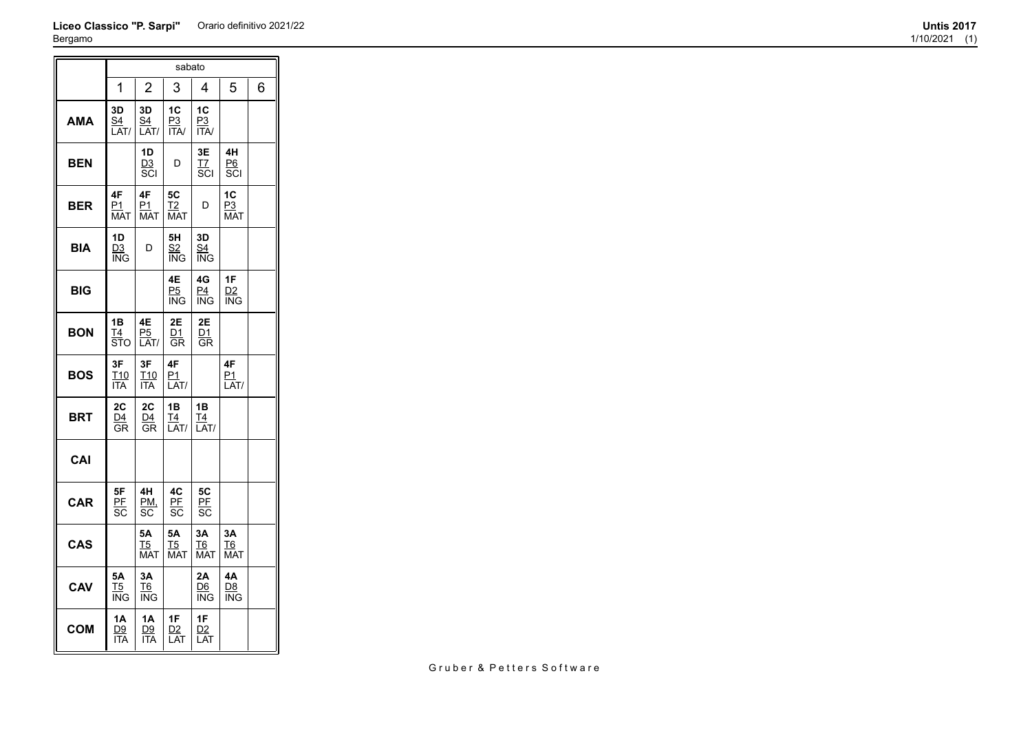## **Liceo Classico "P. Sarpi"** Orario definitivo 2021/22 **Untis 2017** Bergamo

|            |                                     |                                    | sabato                             |                                      |                             |   |
|------------|-------------------------------------|------------------------------------|------------------------------------|--------------------------------------|-----------------------------|---|
|            | 1                                   | $\overline{2}$                     | 3                                  | 4                                    | 5                           | 6 |
| <b>AMA</b> | 3D<br><u>S4</u><br>LAT/             | 3D<br><u>S4</u><br>LAT/            | 1C<br><u>P3</u><br><b>ITA/</b>     | 1C<br><u>P3</u><br><b>ITA/</b>       |                             |   |
| BEN        |                                     | 1D<br>D3<br>SCI                    | D                                  | 3Е<br>T7<br>$\overline{\text{s}}$ cı | 4H<br>P6<br>SCI             |   |
| <b>BER</b> | 4F<br><u>P1</u><br><b>MAT</b>       | 4F<br><u>P1</u><br><b>MAT</b>      | 5C<br>T <sub>2</sub><br><b>MAT</b> | D                                    | 1C<br>P3<br><b>MAT</b>      |   |
| BIA        | 1D<br>D3<br>ING                     | D                                  | 5H<br>S2<br>ING                    | 3D<br>S4<br>ING                      |                             |   |
| BIG        |                                     |                                    | 4E<br>P <sub>5</sub><br>ING        | 4G<br>P4<br>ING                      | 1F<br><u>D2</u><br>ING      |   |
| <b>BON</b> | 1B<br>Τ4<br>STO                     | 4E<br>P5<br>LAT/                   | 2E<br>D1<br>GR                     | 2E<br><u>D1</u><br>GR                |                             |   |
| BOS        | 3F<br>T <sub>10</sub><br><b>ITA</b> | 3F<br>T10<br><b>ITA</b>            | 4F<br>P1<br>LAT/                   |                                      | 4F<br>P1<br>LAT/            |   |
| BRT        | 2C<br>D4<br>GR                      | 2C<br>D4<br>GR                     | 1B<br>T4<br>LAT/                   | 1B<br>T4<br>LAT/                     |                             |   |
| CAI        |                                     |                                    |                                    |                                      |                             |   |
| <b>CAR</b> | 5F<br><u>PF</u><br>SC               | 4H<br>PM,<br>SC                    | 4C<br>PE<br>SC                     | 5C<br>PF<br>SC                       |                             |   |
| <b>CAS</b> |                                     | 5Α<br><u>T5</u><br>MAT             | 5Α<br><u>T5</u><br><b>MAT</b>      | ЗA<br>T6<br><b>MAT</b>               | ЗA<br>T6<br><b>MAT</b>      |   |
| CAV        | 5Α<br>T5<br><b>ING</b>              | 3A<br>T <sub>6</sub><br><b>ING</b> |                                    | 2Α<br>D6<br>ING                      | 4A<br>D <sub>8</sub><br>ING |   |
| <b>COM</b> | 1Α<br>D9<br>ITA                     | 1A<br><u>D9</u><br><b>ITA</b>      | 1F<br>D <sub>2</sub><br>LAT        | 1F<br>D2<br>LAT                      |                             |   |

Gruber & Petters Software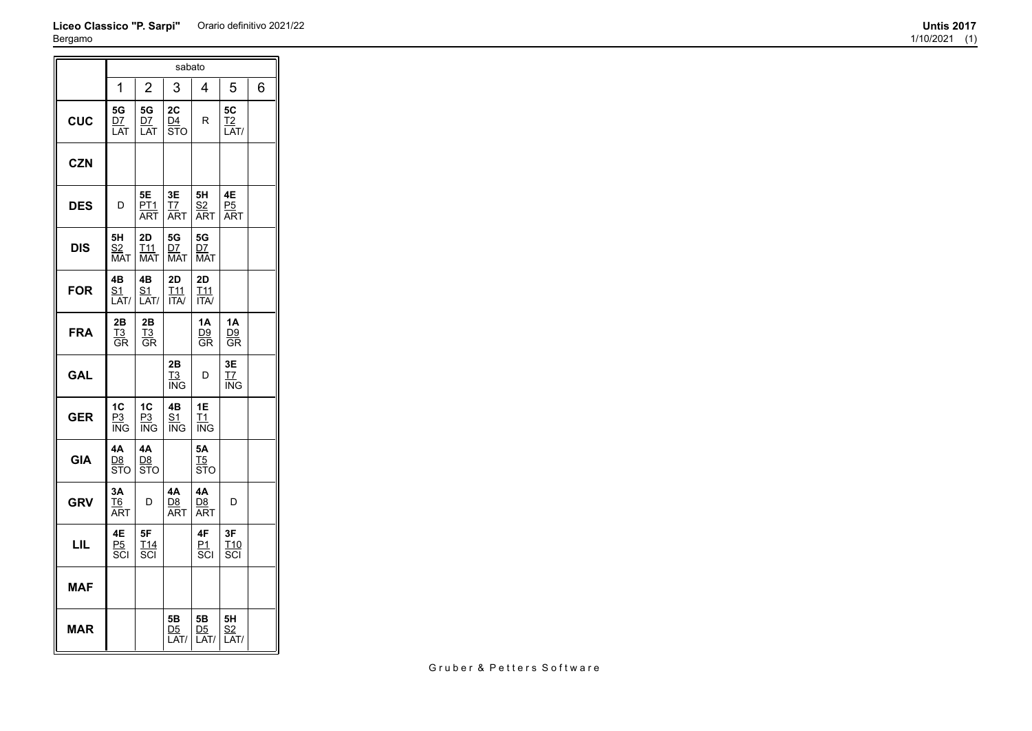## **Liceo Classico "P. Sarpi"** Orario definitivo 2021/22 **Untis 2017** Bergamo  $\equiv$ sabato

| 3ergamo    |                               |                                           |                                 |                                                        |                               |   |
|------------|-------------------------------|-------------------------------------------|---------------------------------|--------------------------------------------------------|-------------------------------|---|
|            |                               |                                           | sabato                          |                                                        |                               |   |
|            | 1                             | $\overline{2}$                            | 3                               | 4                                                      | 5                             | 6 |
| <b>CUC</b> | 5G<br><u>D7</u><br>LAT        | 5G<br><u>D7</u><br>LAT                    | 2C<br>$\frac{D4}{STO}$          | R                                                      | 5C<br><u>T2</u><br>LAT/       |   |
| <b>CZN</b> |                               |                                           |                                 |                                                        |                               |   |
| <b>DES</b> | D                             | 5E<br>PT1<br>ART                          | 3E<br><u>T7</u><br><b>ART</b>   | 5H<br><u>S2</u><br><b>ART</b>                          | 4E<br><u>P5</u><br><b>ART</b> |   |
| <b>DIS</b> | 5H<br><u>S2</u><br><b>MAT</b> | 2D<br><u>T<sub>11</sub></u><br><b>MAT</b> | 5G<br>DZ<br><b>MAT</b>          | 5G<br><u>D7</u><br><b>MAT</b>                          |                               |   |
| <b>FOR</b> | 4B<br><u>S1</u><br>LAT/       | 4B<br><u>S1</u><br>LAT/                   | 2D<br><u>T11</u><br><b>ITA/</b> | 2D<br><u>T<sub>11</sub></u><br>$\overline{\text{ITA}}$ |                               |   |
| <b>FRA</b> | 2Β<br>$rac{T3}{GR}$           | 2B<br><u>T3</u><br>GR                     |                                 | 1A<br>$\frac{D9}{GR}$                                  | <b>1A</b><br>$rac{D9}{GR}$    |   |
| <b>GAL</b> |                               |                                           | 2B<br><u>T3</u><br>ING          | D                                                      | 3E<br><u>T7</u><br><b>ING</b> |   |
| <b>GER</b> | 1C<br>P3                      | 1C<br>P3                                  | 4B<br>$\overline{51}$           | 1E<br>$\underline{\mathsf{T1}}$                        |                               |   |

**GIA**

ING

**4A** <u>D8</u> STO

**3A** <u>T6</u> ART

**4E** <u>P5</u> SCI ING

**4A** <u>D8</u> STO

D

**5F** <u>T14</u> SCI

ING

**4A** <u>D8</u> ART

**5B** <u>D5</u> LAT/ ING

**5A** <u>T5</u> STO

**4A** <u>D8</u> ART

**4F** <u>P1</u> SCI

> **5B** <u>D5</u> LAT/

D

**3F** <u>T10</u> SCI

**5H** <u>s2</u> LAT/

**GRV**

**LIL**

**MAF**

**MAR**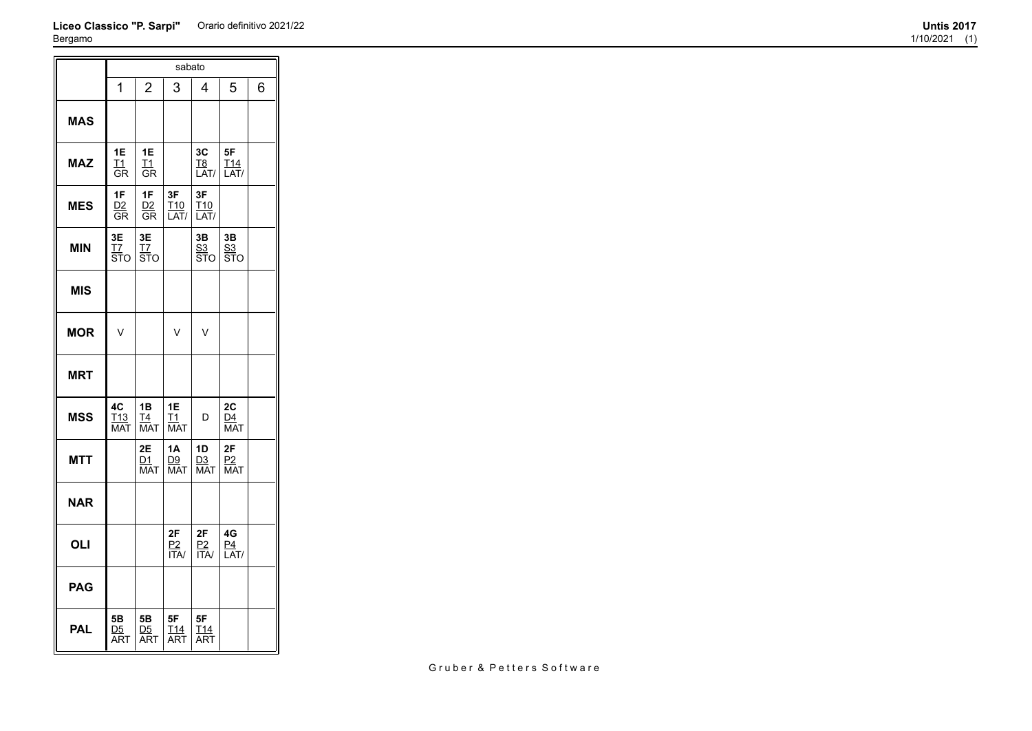## **Liceo Classico "P. Sarpi"** Orario definitivo 2021/22 **Untis 2017** Bergamo

 $\overline{ }$ 

|            |                                             |                        | sabato                        |                                     |                               |   |
|------------|---------------------------------------------|------------------------|-------------------------------|-------------------------------------|-------------------------------|---|
|            | 1                                           | $\overline{2}$         | 3                             | 4                                   | 5                             | 6 |
| <b>MAS</b> |                                             |                        |                               |                                     |                               |   |
| <b>MAZ</b> | 1E<br>$_{11}$<br>GR                         | 1E<br>T1<br>GR         |                               | 3C<br>T <sub>8</sub><br>LAT/        | 5F<br>T <sub>14</sub><br>LAT/ |   |
| <b>MES</b> | 1F<br><u>D2</u><br>GR                       | 1F<br>D2<br>GR         | 3F<br>T <sub>10</sub><br>LAT/ | 3F<br>T <sub>10</sub><br>LAT/       |                               |   |
| <b>MIN</b> | 3E<br><u>T7</u><br>$\overline{\text{ST}}$ o | 3E<br><u>тт</u><br>ѕто |                               | 3B<br><u>S3</u><br><b>STO</b>       | 3B<br><u>S3</u><br>STO        |   |
| <b>MIS</b> |                                             |                        |                               |                                     |                               |   |
| <b>MOR</b> | V                                           |                        | V                             | V                                   |                               |   |
| <b>MRT</b> |                                             |                        |                               |                                     |                               |   |
| <b>MSS</b> | 4C<br>T <sub>13</sub><br><b>MAT</b>         | 1B<br>T4<br><b>MAT</b> | 1E<br>T1<br><b>MAT</b>        | D                                   | 2C<br>D4<br><b>MAT</b>        |   |
| <b>MTT</b> |                                             | 2E<br>D1<br><b>MAT</b> | 1A<br>D9<br><b>MAT</b>        | 1D<br>D <sub>3</sub><br><b>MAT</b>  | 2F<br>P2<br><b>MAT</b>        |   |
| <b>NAR</b> |                                             |                        |                               |                                     |                               |   |
| OLI        |                                             |                        | 2F<br>P2<br><b>ITA/</b>       | 2F<br>$rac{P2}{ITA}$                | 4G<br>P <sub>4</sub><br>LAT/  |   |
| <b>PAG</b> |                                             |                        |                               |                                     |                               |   |
| <b>PAL</b> | 5Β<br>D5<br>ART                             | 5Β<br>D5<br><b>ART</b> | 5F<br>T14<br><b>ART</b>       | 5F<br>T <sub>14</sub><br><b>ART</b> |                               |   |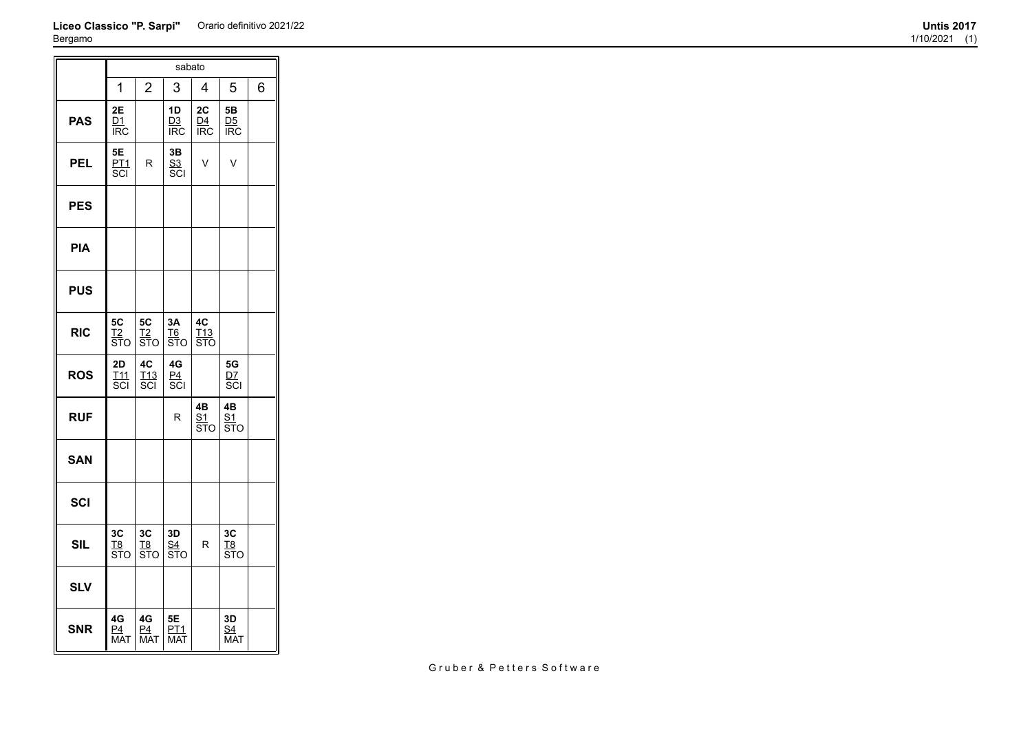## **Liceo Classico "P. Sarpi"** Orario definitivo 2021/22 **Untis 2017** Bergamo

|            |                                                   |                                                  | sabato                             |                                |                                    |   |
|------------|---------------------------------------------------|--------------------------------------------------|------------------------------------|--------------------------------|------------------------------------|---|
|            | 1                                                 | 2                                                | 3                                  | 4                              | 5                                  | 6 |
| <b>PAS</b> | 2E<br>D1<br><b>IRC</b>                            |                                                  | 1D<br>D3<br><b>IRC</b>             | 2C<br>D4<br><b>IRC</b>         | 5Β<br>D <sub>5</sub><br><b>IRC</b> |   |
| <b>PEL</b> | 5E<br>P <sub>T</sub> 1<br>$\overline{\text{SCI}}$ | R                                                | 3B<br><u>s3</u><br>SCI             | V                              | $\vee$                             |   |
| <b>PES</b> |                                                   |                                                  |                                    |                                |                                    |   |
| <b>PIA</b> |                                                   |                                                  |                                    |                                |                                    |   |
| <b>PUS</b> |                                                   |                                                  |                                    |                                |                                    |   |
| <b>RIC</b> | 5C<br><u>T2</u><br>STO                            | 5C<br><u>T2</u><br>STO                           | 3A<br><b>T<sub>6</sub></b><br>зт̃о | 4C<br><u>T13</u><br><b>STO</b> |                                    |   |
| <b>ROS</b> | 2D<br>T11<br>scı                                  | 4C<br>T <sub>13</sub><br>$\overline{\text{SCI}}$ | 4G<br>P <sub>4</sub><br>SCI        |                                | 5G<br><u>D7</u><br>Ξcι             |   |
| <b>RUF</b> |                                                   |                                                  | R                                  | 4B<br><u>S1</u><br>STO         | 4B<br>S1<br>STO                    |   |
| <b>SAN</b> |                                                   |                                                  |                                    |                                |                                    |   |
| <b>SCI</b> |                                                   |                                                  |                                    |                                |                                    |   |
| <b>SIL</b> | 3C<br>T8<br>STO                                   | 3C<br><u>T8</u><br><b>STO</b>                    | 3D<br><u>S4</u><br><b>STO</b>      | R                              | 3C<br><u>T8</u><br>STO             |   |
| <b>SLV</b> |                                                   |                                                  |                                    |                                |                                    |   |
| <b>SNR</b> | 4G<br>P4<br><b>MAT</b>                            | 4G<br>P <sub>4</sub><br><b>MAT</b>               | 5Ε<br><u>PT1</u><br>MAT            |                                | 3D<br><u>S4</u><br><b>MAT</b>      |   |